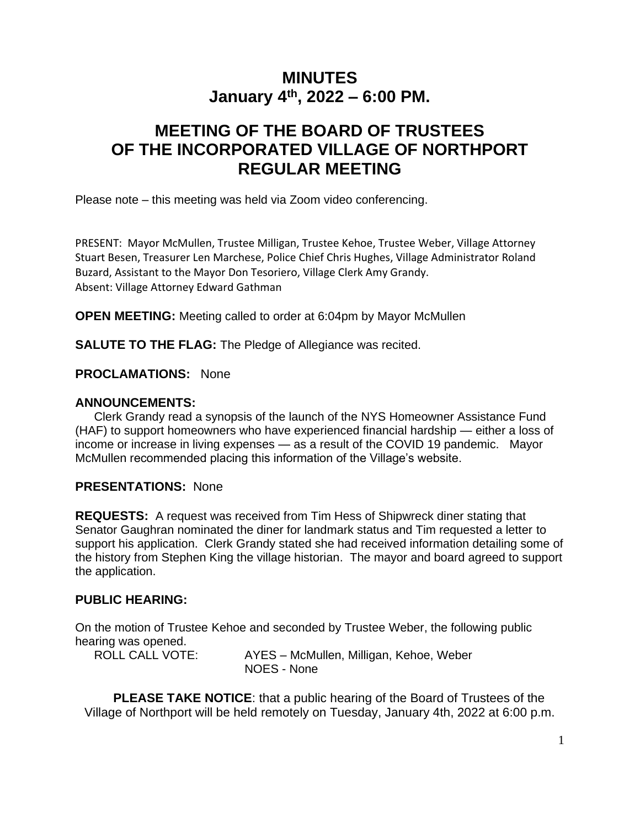# **MINUTES January 4th, 2022 – 6:00 PM.**

# **MEETING OF THE BOARD OF TRUSTEES OF THE INCORPORATED VILLAGE OF NORTHPORT REGULAR MEETING**

Please note – this meeting was held via Zoom video conferencing.

PRESENT: Mayor McMullen, Trustee Milligan, Trustee Kehoe, Trustee Weber, Village Attorney Stuart Besen, Treasurer Len Marchese, Police Chief Chris Hughes, Village Administrator Roland Buzard, Assistant to the Mayor Don Tesoriero, Village Clerk Amy Grandy. Absent: Village Attorney Edward Gathman

**OPEN MEETING:** Meeting called to order at 6:04pm by Mayor McMullen

**SALUTE TO THE FLAG:** The Pledge of Allegiance was recited.

**PROCLAMATIONS:** None

#### **ANNOUNCEMENTS:**

Clerk Grandy read a synopsis of the launch of the NYS Homeowner Assistance Fund (HAF) to support homeowners who have experienced financial hardship — either a loss of income or increase in living expenses — as a result of the COVID 19 pandemic. Mayor McMullen recommended placing this information of the Village's website.

#### **PRESENTATIONS:** None

**REQUESTS:** A request was received from Tim Hess of Shipwreck diner stating that Senator Gaughran nominated the diner for landmark status and Tim requested a letter to support his application. Clerk Grandy stated she had received information detailing some of the history from Stephen King the village historian. The mayor and board agreed to support the application.

#### **PUBLIC HEARING:**

On the motion of Trustee Kehoe and seconded by Trustee Weber, the following public hearing was opened.

ROLL CALL VOTE: AYES – McMullen, Milligan, Kehoe, Weber NOES - None

**PLEASE TAKE NOTICE**: that a public hearing of the Board of Trustees of the Village of Northport will be held remotely on Tuesday, January 4th, 2022 at 6:00 p.m.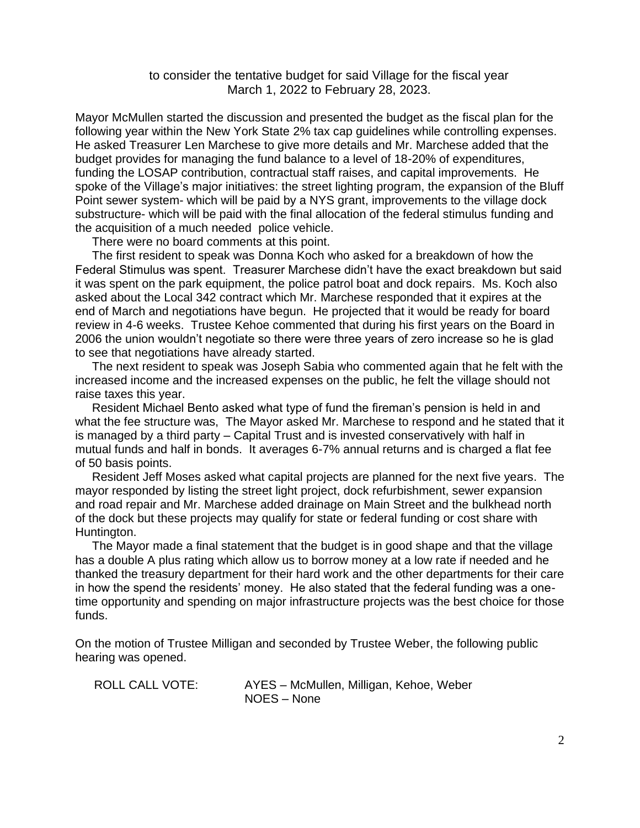to consider the tentative budget for said Village for the fiscal year March 1, 2022 to February 28, 2023.

Mayor McMullen started the discussion and presented the budget as the fiscal plan for the following year within the New York State 2% tax cap guidelines while controlling expenses. He asked Treasurer Len Marchese to give more details and Mr. Marchese added that the budget provides for managing the fund balance to a level of 18-20% of expenditures, funding the LOSAP contribution, contractual staff raises, and capital improvements. He spoke of the Village's major initiatives: the street lighting program, the expansion of the Bluff Point sewer system- which will be paid by a NYS grant, improvements to the village dock substructure- which will be paid with the final allocation of the federal stimulus funding and the acquisition of a much needed police vehicle.

There were no board comments at this point.

 The first resident to speak was Donna Koch who asked for a breakdown of how the Federal Stimulus was spent. Treasurer Marchese didn't have the exact breakdown but said it was spent on the park equipment, the police patrol boat and dock repairs. Ms. Koch also asked about the Local 342 contract which Mr. Marchese responded that it expires at the end of March and negotiations have begun. He projected that it would be ready for board review in 4-6 weeks. Trustee Kehoe commented that during his first years on the Board in 2006 the union wouldn't negotiate so there were three years of zero increase so he is glad to see that negotiations have already started.

 The next resident to speak was Joseph Sabia who commented again that he felt with the increased income and the increased expenses on the public, he felt the village should not raise taxes this year.

 Resident Michael Bento asked what type of fund the fireman's pension is held in and what the fee structure was, The Mayor asked Mr. Marchese to respond and he stated that it is managed by a third party – Capital Trust and is invested conservatively with half in mutual funds and half in bonds. It averages 6-7% annual returns and is charged a flat fee of 50 basis points.

 Resident Jeff Moses asked what capital projects are planned for the next five years. The mayor responded by listing the street light project, dock refurbishment, sewer expansion and road repair and Mr. Marchese added drainage on Main Street and the bulkhead north of the dock but these projects may qualify for state or federal funding or cost share with Huntington.

 The Mayor made a final statement that the budget is in good shape and that the village has a double A plus rating which allow us to borrow money at a low rate if needed and he thanked the treasury department for their hard work and the other departments for their care in how the spend the residents' money. He also stated that the federal funding was a onetime opportunity and spending on major infrastructure projects was the best choice for those funds.

On the motion of Trustee Milligan and seconded by Trustee Weber, the following public hearing was opened.

ROLL CALL VOTE: AYES – McMullen, Milligan, Kehoe, Weber NOES – None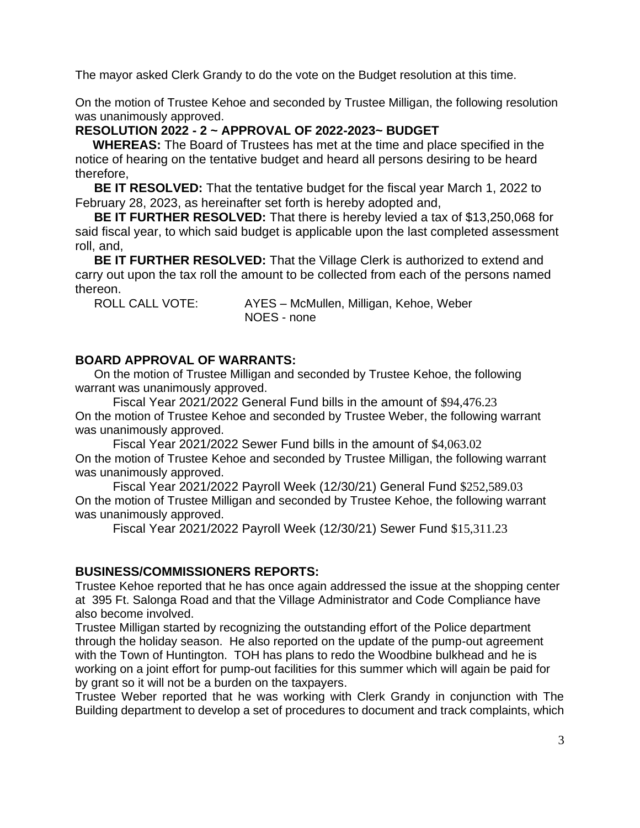The mayor asked Clerk Grandy to do the vote on the Budget resolution at this time.

On the motion of Trustee Kehoe and seconded by Trustee Milligan, the following resolution was unanimously approved.

#### **RESOLUTION 2022 - 2 ~ APPROVAL OF 2022-2023~ BUDGET**

 **WHEREAS:** The Board of Trustees has met at the time and place specified in the notice of hearing on the tentative budget and heard all persons desiring to be heard therefore,

**BE IT RESOLVED:** That the tentative budget for the fiscal year March 1, 2022 to February 28, 2023, as hereinafter set forth is hereby adopted and,

**BE IT FURTHER RESOLVED:** That there is hereby levied a tax of \$13,250,068 for said fiscal year, to which said budget is applicable upon the last completed assessment roll, and,

**BE IT FURTHER RESOLVED:** That the Village Clerk is authorized to extend and carry out upon the tax roll the amount to be collected from each of the persons named thereon.

ROLL CALL VOTE: AYES – McMullen, Milligan, Kehoe, Weber NOES - none

#### **BOARD APPROVAL OF WARRANTS:**

On the motion of Trustee Milligan and seconded by Trustee Kehoe, the following warrant was unanimously approved.

Fiscal Year 2021/2022 General Fund bills in the amount of \$94,476.23 On the motion of Trustee Kehoe and seconded by Trustee Weber, the following warrant was unanimously approved.

Fiscal Year 2021/2022 Sewer Fund bills in the amount of \$4,063.02 On the motion of Trustee Kehoe and seconded by Trustee Milligan, the following warrant was unanimously approved.

Fiscal Year 2021/2022 Payroll Week (12/30/21) General Fund \$252,589.03 On the motion of Trustee Milligan and seconded by Trustee Kehoe, the following warrant was unanimously approved.

Fiscal Year 2021/2022 Payroll Week (12/30/21) Sewer Fund \$15,311.23

#### **BUSINESS/COMMISSIONERS REPORTS:**

Trustee Kehoe reported that he has once again addressed the issue at the shopping center at 395 Ft. Salonga Road and that the Village Administrator and Code Compliance have also become involved.

Trustee Milligan started by recognizing the outstanding effort of the Police department through the holiday season. He also reported on the update of the pump-out agreement with the Town of Huntington. TOH has plans to redo the Woodbine bulkhead and he is working on a joint effort for pump-out facilities for this summer which will again be paid for by grant so it will not be a burden on the taxpayers.

Trustee Weber reported that he was working with Clerk Grandy in conjunction with The Building department to develop a set of procedures to document and track complaints, which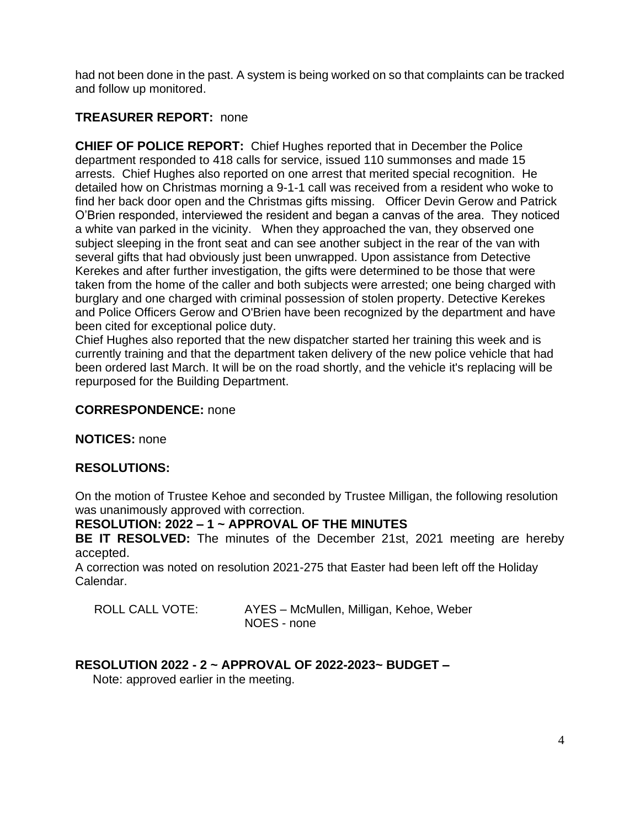had not been done in the past. A system is being worked on so that complaints can be tracked and follow up monitored.

## **TREASURER REPORT:** none

**CHIEF OF POLICE REPORT:** Chief Hughes reported that in December the Police department responded to 418 calls for service, issued 110 summonses and made 15 arrests. Chief Hughes also reported on one arrest that merited special recognition. He detailed how on Christmas morning a 9-1-1 call was received from a resident who woke to find her back door open and the Christmas gifts missing. Officer Devin Gerow and Patrick O'Brien responded, interviewed the resident and began a canvas of the area. They noticed a white van parked in the vicinity. When they approached the van, they observed one subject sleeping in the front seat and can see another subject in the rear of the van with several gifts that had obviously just been unwrapped. Upon assistance from Detective Kerekes and after further investigation, the gifts were determined to be those that were taken from the home of the caller and both subjects were arrested; one being charged with burglary and one charged with criminal possession of stolen property. Detective Kerekes and Police Officers Gerow and O'Brien have been recognized by the department and have been cited for exceptional police duty.

Chief Hughes also reported that the new dispatcher started her training this week and is currently training and that the department taken delivery of the new police vehicle that had been ordered last March. It will be on the road shortly, and the vehicle it's replacing will be repurposed for the Building Department.

#### **CORRESPONDENCE:** none

**NOTICES:** none

## **RESOLUTIONS:**

On the motion of Trustee Kehoe and seconded by Trustee Milligan, the following resolution was unanimously approved with correction.

## **RESOLUTION: 2022 – 1 ~ APPROVAL OF THE MINUTES**

**BE IT RESOLVED:** The minutes of the December 21st, 2021 meeting are hereby accepted.

A correction was noted on resolution 2021-275 that Easter had been left off the Holiday Calendar.

| <b>ROLL CALL VOTE:</b> | AYES - McMullen, Milligan, Kehoe, Weber |
|------------------------|-----------------------------------------|
|                        | NOES - none                             |

## **RESOLUTION 2022 - 2 ~ APPROVAL OF 2022-2023~ BUDGET –**

Note: approved earlier in the meeting.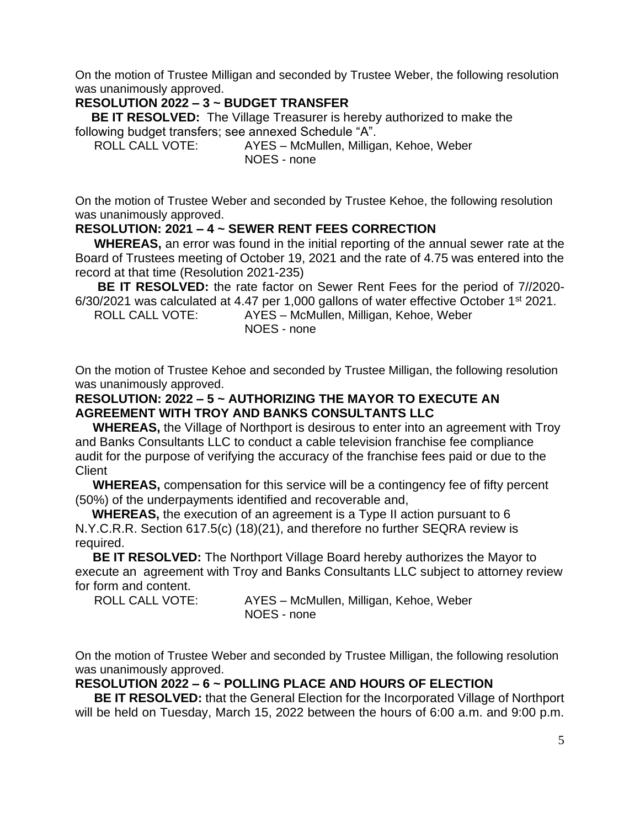On the motion of Trustee Milligan and seconded by Trustee Weber, the following resolution was unanimously approved.

# **RESOLUTION 2022 – 3 ~ BUDGET TRANSFER**

 **BE IT RESOLVED:** The Village Treasurer is hereby authorized to make the following budget transfers; see annexed Schedule "A".

ROLL CALL VOTE: AYES – McMullen, Milligan, Kehoe, Weber NOES - none

On the motion of Trustee Weber and seconded by Trustee Kehoe, the following resolution was unanimously approved.

## **RESOLUTION: 2021 – 4 ~ SEWER RENT FEES CORRECTION**

**WHEREAS,** an error was found in the initial reporting of the annual sewer rate at the Board of Trustees meeting of October 19, 2021 and the rate of 4.75 was entered into the record at that time (Resolution 2021-235)

**BE IT RESOLVED:** the rate factor on Sewer Rent Fees for the period of 7//2020- 6/30/2021 was calculated at 4.47 per 1,000 gallons of water effective October 1st 2021.

ROLL CALL VOTE: AYES – McMullen, Milligan, Kehoe, Weber NOES - none

On the motion of Trustee Kehoe and seconded by Trustee Milligan, the following resolution was unanimously approved.

## **RESOLUTION: 2022 – 5 ~ AUTHORIZING THE MAYOR TO EXECUTE AN AGREEMENT WITH TROY AND BANKS CONSULTANTS LLC**

 **WHEREAS,** the Village of Northport is desirous to enter into an agreement with Troy and Banks Consultants LLC to conduct a cable television franchise fee compliance audit for the purpose of verifying the accuracy of the franchise fees paid or due to the **Client** 

 **WHEREAS,** compensation for this service will be a contingency fee of fifty percent (50%) of the underpayments identified and recoverable and,

 **WHEREAS,** the execution of an agreement is a Type II action pursuant to 6 N.Y.C.R.R. Section 617.5(c) (18)(21), and therefore no further SEQRA review is required.

 **BE IT RESOLVED:** The Northport Village Board hereby authorizes the Mayor to execute an agreement with Troy and Banks Consultants LLC subject to attorney review for form and content.

ROLL CALL VOTE: AYES – McMullen, Milligan, Kehoe, Weber NOES - none

On the motion of Trustee Weber and seconded by Trustee Milligan, the following resolution was unanimously approved.

# **RESOLUTION 2022 – 6 ~ POLLING PLACE AND HOURS OF ELECTION**

**BE IT RESOLVED:** that the General Election for the Incorporated Village of Northport will be held on Tuesday, March 15, 2022 between the hours of 6:00 a.m. and 9:00 p.m.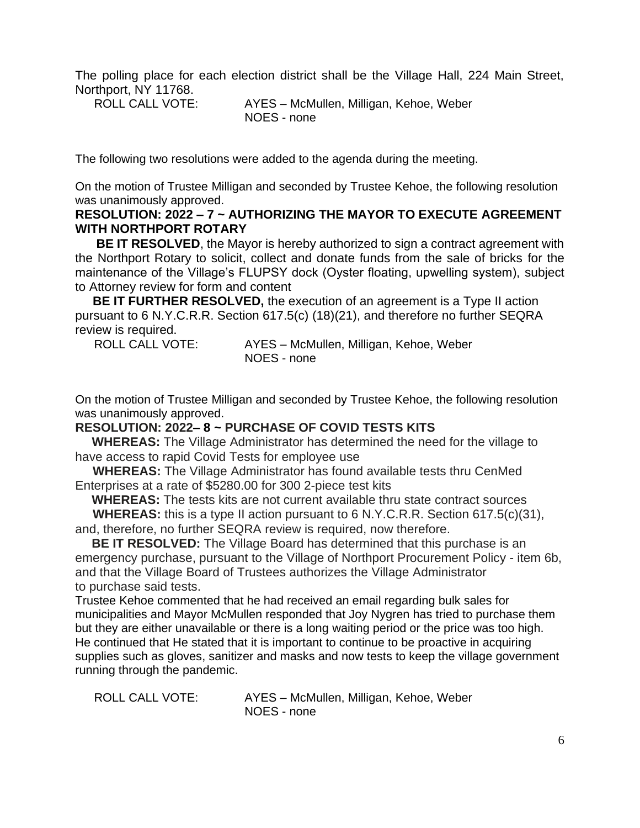The polling place for each election district shall be the Village Hall, 224 Main Street, Northport, NY 11768.

ROLL CALL VOTE: AYES – McMullen, Milligan, Kehoe, Weber

NOES - none

The following two resolutions were added to the agenda during the meeting.

On the motion of Trustee Milligan and seconded by Trustee Kehoe, the following resolution was unanimously approved.

## **RESOLUTION: 2022 – 7 ~ AUTHORIZING THE MAYOR TO EXECUTE AGREEMENT WITH NORTHPORT ROTARY**

**BE IT RESOLVED**, the Mayor is hereby authorized to sign a contract agreement with the Northport Rotary to solicit, collect and donate funds from the sale of bricks for the maintenance of the Village's FLUPSY dock (Oyster floating, upwelling system), subject to Attorney review for form and content

 **BE IT FURTHER RESOLVED,** the execution of an agreement is a Type II action pursuant to 6 N.Y.C.R.R. Section 617.5(c) (18)(21), and therefore no further SEQRA review is required.

ROLL CALL VOTE: AYES – McMullen, Milligan, Kehoe, Weber NOES - none

On the motion of Trustee Milligan and seconded by Trustee Kehoe, the following resolution was unanimously approved.

#### **RESOLUTION: 2022– 8 ~ PURCHASE OF COVID TESTS KITS**

 **WHEREAS:** The Village Administrator has determined the need for the village to have access to rapid Covid Tests for employee use

 **WHEREAS:** The Village Administrator has found available tests thru CenMed Enterprises at a rate of \$5280.00 for 300 2-piece test kits

**WHEREAS:** The tests kits are not current available thru state contract sources

 **WHEREAS:** this is a type II action pursuant to 6 N.Y.C.R.R. Section 617.5(c)(31), and, therefore, no further SEQRA review is required, now therefore.

 **BE IT RESOLVED:** The Village Board has determined that this purchase is an emergency purchase, pursuant to the Village of Northport Procurement Policy - item 6b, and that the Village Board of Trustees authorizes the Village Administrator to purchase said tests.

Trustee Kehoe commented that he had received an email regarding bulk sales for municipalities and Mayor McMullen responded that Joy Nygren has tried to purchase them but they are either unavailable or there is a long waiting period or the price was too high. He continued that He stated that it is important to continue to be proactive in acquiring supplies such as gloves, sanitizer and masks and now tests to keep the village government running through the pandemic.

ROLL CALL VOTE: AYES – McMullen, Milligan, Kehoe, Weber NOES - none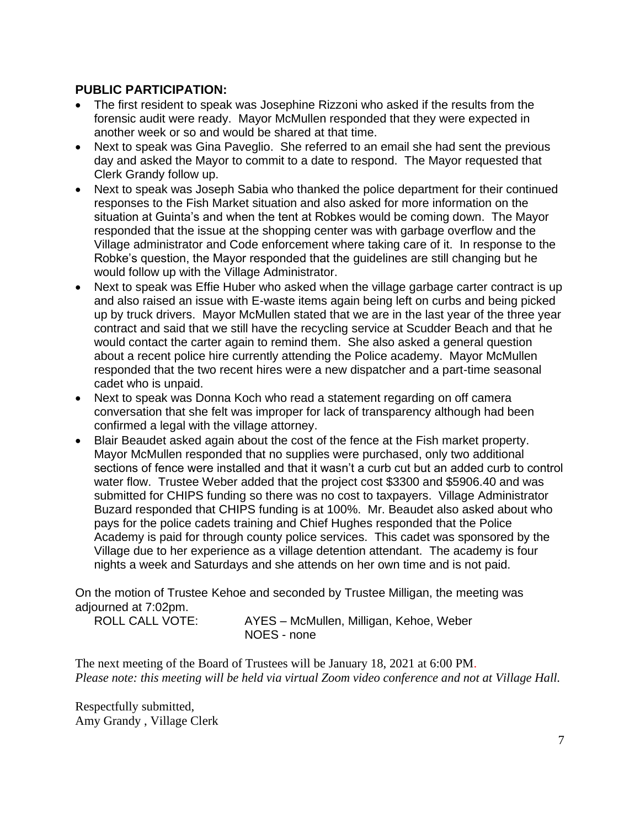## **PUBLIC PARTICIPATION:**

- The first resident to speak was Josephine Rizzoni who asked if the results from the forensic audit were ready. Mayor McMullen responded that they were expected in another week or so and would be shared at that time.
- Next to speak was Gina Paveglio. She referred to an email she had sent the previous day and asked the Mayor to commit to a date to respond. The Mayor requested that Clerk Grandy follow up.
- Next to speak was Joseph Sabia who thanked the police department for their continued responses to the Fish Market situation and also asked for more information on the situation at Guinta's and when the tent at Robkes would be coming down. The Mayor responded that the issue at the shopping center was with garbage overflow and the Village administrator and Code enforcement where taking care of it. In response to the Robke's question, the Mayor responded that the guidelines are still changing but he would follow up with the Village Administrator.
- Next to speak was Effie Huber who asked when the village garbage carter contract is up and also raised an issue with E-waste items again being left on curbs and being picked up by truck drivers. Mayor McMullen stated that we are in the last year of the three year contract and said that we still have the recycling service at Scudder Beach and that he would contact the carter again to remind them. She also asked a general question about a recent police hire currently attending the Police academy. Mayor McMullen responded that the two recent hires were a new dispatcher and a part-time seasonal cadet who is unpaid.
- Next to speak was Donna Koch who read a statement regarding on off camera conversation that she felt was improper for lack of transparency although had been confirmed a legal with the village attorney.
- Blair Beaudet asked again about the cost of the fence at the Fish market property. Mayor McMullen responded that no supplies were purchased, only two additional sections of fence were installed and that it wasn't a curb cut but an added curb to control water flow. Trustee Weber added that the project cost \$3300 and \$5906.40 and was submitted for CHIPS funding so there was no cost to taxpayers. Village Administrator Buzard responded that CHIPS funding is at 100%. Mr. Beaudet also asked about who pays for the police cadets training and Chief Hughes responded that the Police Academy is paid for through county police services. This cadet was sponsored by the Village due to her experience as a village detention attendant. The academy is four nights a week and Saturdays and she attends on her own time and is not paid.

On the motion of Trustee Kehoe and seconded by Trustee Milligan, the meeting was adjourned at 7:02pm.

ROLL CALL VOTE: AYES – McMullen, Milligan, Kehoe, Weber NOES - none

The next meeting of the Board of Trustees will be January 18, 2021 at 6:00 PM. *Please note: this meeting will be held via virtual Zoom video conference and not at Village Hall.*

Respectfully submitted, Amy Grandy , Village Clerk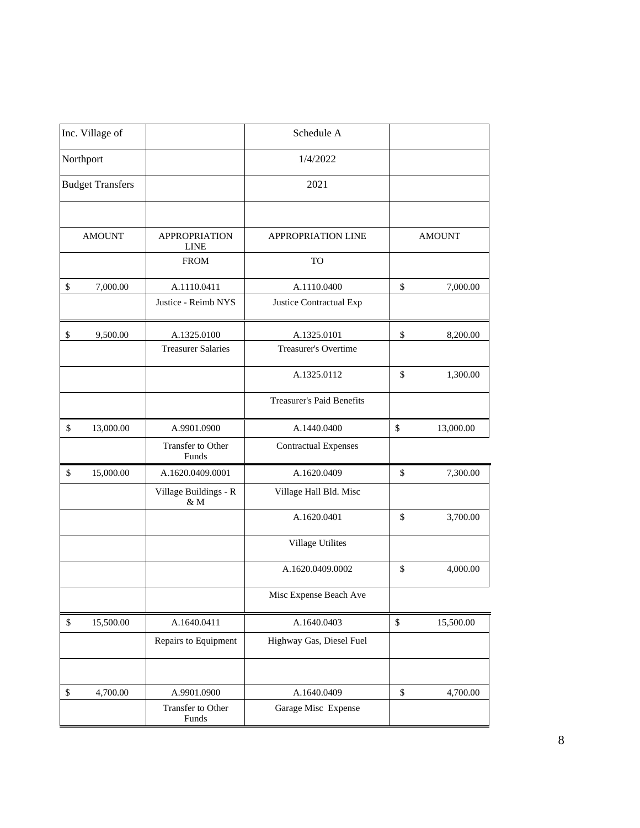|           | Inc. Village of         |                              | Schedule A                       |               |               |
|-----------|-------------------------|------------------------------|----------------------------------|---------------|---------------|
| Northport |                         | 1/4/2022                     |                                  |               |               |
|           | <b>Budget Transfers</b> |                              | 2021                             |               |               |
|           | <b>AMOUNT</b>           | <b>APPROPRIATION</b>         | <b>APPROPRIATION LINE</b>        |               | <b>AMOUNT</b> |
|           |                         | <b>LINE</b>                  |                                  |               |               |
|           |                         | <b>FROM</b>                  | <b>TO</b>                        |               |               |
| \$        | 7,000.00                | A.1110.0411                  | A.1110.0400                      | \$            | 7,000.00      |
|           |                         | Justice - Reimb NYS          | Justice Contractual Exp          |               |               |
| \$        | 9,500.00                | A.1325.0100                  | A.1325.0101                      | $\mathbb{S}$  | 8,200.00      |
|           |                         | <b>Treasurer Salaries</b>    | Treasurer's Overtime             |               |               |
|           |                         |                              | A.1325.0112                      | \$            | 1,300.00      |
|           |                         |                              | <b>Treasurer's Paid Benefits</b> |               |               |
| \$        | 13,000.00               | A.9901.0900                  | A.1440.0400                      | \$            | 13,000.00     |
|           |                         | Transfer to Other<br>Funds   | <b>Contractual Expenses</b>      |               |               |
| \$        | 15,000.00               | A.1620.0409.0001             | A.1620.0409                      | $\mathsf{\$}$ | 7,300.00      |
|           |                         | Village Buildings - R<br>& M | Village Hall Bld. Misc           |               |               |
|           |                         |                              | A.1620.0401                      | \$            | 3,700.00      |
|           |                         |                              | <b>Village Utilites</b>          |               |               |
|           |                         |                              | A.1620.0409.0002                 | \$            | 4,000.00      |
|           |                         |                              | Misc Expense Beach Ave           |               |               |
| \$        | 15,500.00               | A.1640.0411                  | A.1640.0403                      | \$            | 15,500.00     |
|           |                         | Repairs to Equipment         | Highway Gas, Diesel Fuel         |               |               |
|           |                         |                              |                                  |               |               |
| $\$$      | 4,700.00                | A.9901.0900                  | A.1640.0409                      | $\mathbb{S}$  | 4,700.00      |
|           |                         | Transfer to Other<br>Funds   | Garage Misc Expense              |               |               |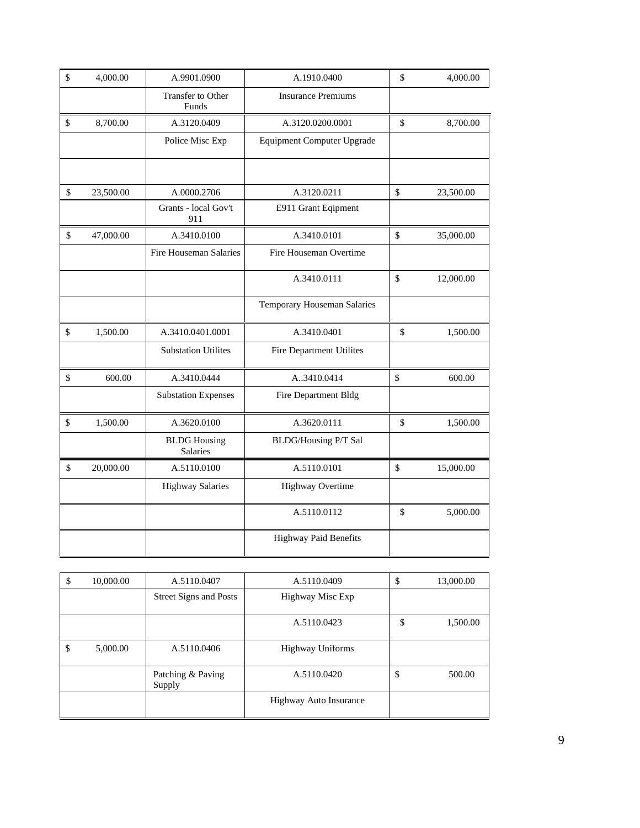| \$<br>4,000.00  | A.9901.0900                            | A.1910.0400                       | \$<br>4,000.00  |
|-----------------|----------------------------------------|-----------------------------------|-----------------|
|                 | Transfer to Other<br>Funds             | <b>Insurance Premiums</b>         |                 |
| \$<br>8,700.00  | A.3120.0409                            | A.3120.0200.0001                  | \$<br>8,700.00  |
|                 | Police Misc Exp                        | <b>Equipment Computer Upgrade</b> |                 |
|                 |                                        |                                   |                 |
| \$<br>23,500.00 | A.0000.2706                            | A.3120.0211                       | \$<br>23,500.00 |
|                 | Grants - local Gov't<br>911            | E911 Grant Eqipment               |                 |
| \$<br>47,000.00 | A.3410.0100                            | A.3410.0101                       | \$<br>35,000.00 |
|                 | Fire Houseman Salaries                 | Fire Houseman Overtime            |                 |
|                 |                                        | A.3410.0111                       | \$<br>12,000.00 |
|                 |                                        | Temporary Houseman Salaries       |                 |
| \$<br>1,500.00  | A.3410.0401.0001                       | A.3410.0401                       | \$<br>1,500.00  |
|                 | <b>Substation Utilites</b>             | Fire Department Utilites          |                 |
| \$<br>600.00    | A.3410.0444                            | A.3410.0414                       | \$<br>600.00    |
|                 | <b>Substation Expenses</b>             | Fire Department Bldg              |                 |
| \$<br>1,500.00  | A.3620.0100                            | A.3620.0111                       | \$<br>1,500.00  |
|                 | <b>BLDG</b> Housing<br><b>Salaries</b> | <b>BLDG/Housing P/T Sal</b>       |                 |
| \$<br>20,000.00 | A.5110.0100                            | A.5110.0101                       | \$<br>15,000.00 |
|                 | <b>Highway Salaries</b>                | Highway Overtime                  |                 |
|                 |                                        | A.5110.0112                       | \$<br>5,000.00  |
|                 |                                        | Highway Paid Benefits             |                 |

| \$<br>10,000.00 | A.5110.0407                   | A.5110.0409             | \$<br>13,000.00 |
|-----------------|-------------------------------|-------------------------|-----------------|
|                 | <b>Street Signs and Posts</b> | Highway Misc Exp        |                 |
|                 |                               | A.5110.0423             | \$<br>1,500.00  |
| \$<br>5,000.00  | A.5110.0406                   | <b>Highway Uniforms</b> |                 |
|                 | Patching & Paving<br>Supply   | A.5110.0420             | \$<br>500.00    |
|                 |                               | Highway Auto Insurance  |                 |